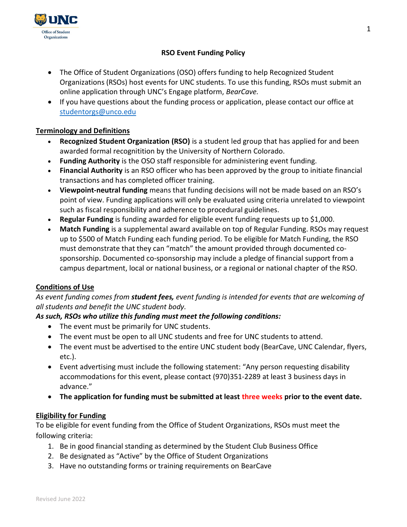

# RSO Event Funding Policy

- The Office of Student Organizations (OSO) offers funding to help Recognized Student Organizations (RSOs) host events for UNC students. To use this funding, RSOs must submit an online application through UNC's Engage platform, BearCave.
- If you have questions about the funding process or application, please contact our office at studentorgs@unco.edu

# Terminology and Definitions

- Recognized Student Organization (RSO) is a student led group that has applied for and been awarded formal recognitition by the University of Northern Colorado.
- Funding Authority is the OSO staff responsible for administering event funding.
- Financial Authority is an RSO officer who has been approved by the group to initiate financial transactions and has completed officer training.
- Viewpoint-neutral funding means that funding decisions will not be made based on an RSO's point of view. Funding applications will only be evaluated using criteria unrelated to viewpoint such as fiscal responsibility and adherence to procedural guidelines.
- Regular Funding is funding awarded for eligible event funding requests up to \$1,000.
- Match Funding is a supplemental award available on top of Regular Funding. RSOs may request up to \$500 of Match Funding each funding period. To be eligible for Match Funding, the RSO must demonstrate that they can "match" the amount provided through documented cosponsorship. Documented co-sponsorship may include a pledge of financial support from a campus department, local or national business, or a regional or national chapter of the RSO.

# Conditions of Use

# As event funding comes from **student fees,** event funding is intended for events that are welcoming of all students and benefit the UNC student body.

# As such, RSOs who utilize this funding must meet the following conditions:

- The event must be primarily for UNC students.
- The event must be open to all UNC students and free for UNC students to attend.
- The event must be advertised to the entire UNC student body (BearCave, UNC Calendar, flyers, etc.).
- Event advertising must include the following statement: "Any person requesting disability accommodations for this event, please contact (970)351-2289 at least 3 business days in advance."
- The application for funding must be submitted at least three weeks prior to the event date.

# Eligibility for Funding

To be eligible for event funding from the Office of Student Organizations, RSOs must meet the following criteria:

- 1. Be in good financial standing as determined by the Student Club Business Office
- 2. Be designated as "Active" by the Office of Student Organizations
- 3. Have no outstanding forms or training requirements on BearCave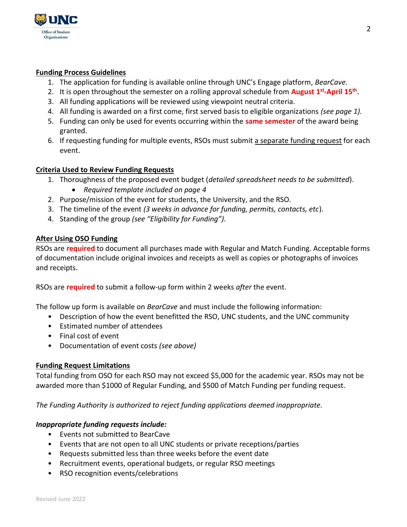

#### Funding Process Guidelines

- 1. The application for funding is available online through UNC's Engage platform, BearCave.
- 2. It is open throughout the semester on a rolling approval schedule from **August 1<sup>st</sup>-April 15<sup>th</sup>.**
- 3. All funding applications will be reviewed using viewpoint neutral criteria.
- 4. All funding is awarded on a first come, first served basis to eligible organizations (see page 1).
- 5. Funding can only be used for events occurring within the same semester of the award being granted.
- 6. If requesting funding for multiple events, RSOs must submit a separate funding request for each event.

#### Criteria Used to Review Funding Requests

- 1. Thoroughness of the proposed event budget (detailed spreadsheet needs to be submitted).
	- Required template included on page 4
- 2. Purpose/mission of the event for students, the University, and the RSO.
- 3. The timeline of the event (3 weeks in advance for funding, permits, contacts, etc).
- 4. Standing of the group (see "Eligibility for Funding").

#### After Using OSO Funding

RSOs are required to document all purchases made with Regular and Match Funding. Acceptable forms of documentation include original invoices and receipts as well as copies or photographs of invoices and receipts.

RSOs are required to submit a follow-up form within 2 weeks after the event.

The follow up form is available on BearCave and must include the following information:

- Description of how the event benefitted the RSO, UNC students, and the UNC community
- Estimated number of attendees
- Final cost of event
- Documentation of event costs (see above)

#### Funding Request Limitations

Total funding from OSO for each RSO may not exceed \$5,000 for the academic year. RSOs may not be awarded more than \$1000 of Regular Funding, and \$500 of Match Funding per funding request.

The Funding Authority is authorized to reject funding applications deemed inappropriate.

#### Inappropriate funding requests include:

- Events not submitted to BearCave
- Events that are not open to all UNC students or private receptions/parties
- Requests submitted less than three weeks before the event date
- Recruitment events, operational budgets, or regular RSO meetings
- RSO recognition events/celebrations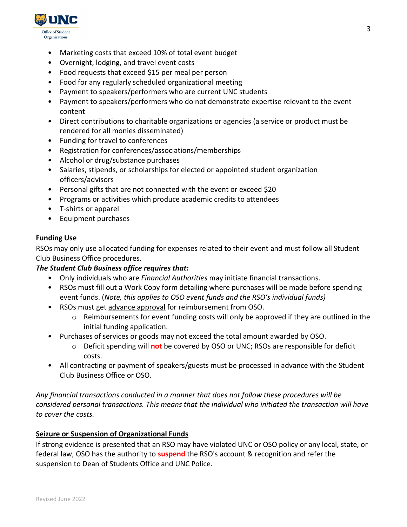

- Marketing costs that exceed 10% of total event budget
- Overnight, lodging, and travel event costs
- Food requests that exceed \$15 per meal per person
- Food for any regularly scheduled organizational meeting
- Payment to speakers/performers who are current UNC students
- Payment to speakers/performers who do not demonstrate expertise relevant to the event content
- Direct contributions to charitable organizations or agencies (a service or product must be rendered for all monies disseminated)
- Funding for travel to conferences
- Registration for conferences/associations/memberships
- Alcohol or drug/substance purchases
- Salaries, stipends, or scholarships for elected or appointed student organization officers/advisors
- Personal gifts that are not connected with the event or exceed \$20
- Programs or activities which produce academic credits to attendees
- T-shirts or apparel
- Equipment purchases

### Funding Use

RSOs may only use allocated funding for expenses related to their event and must follow all Student Club Business Office procedures.

### The Student Club Business office requires that:

- Only individuals who are Financial Authorities may initiate financial transactions.
- RSOs must fill out a Work Copy form detailing where purchases will be made before spending event funds. (Note, this applies to OSO event funds and the RSO's individual funds)
- RSOs must get advance approval for reimbursement from OSO.
	- o Reimbursements for event funding costs will only be approved if they are outlined in the initial funding application.
- Purchases of services or goods may not exceed the total amount awarded by OSO.
	- o Deficit spending will not be covered by OSO or UNC; RSOs are responsible for deficit costs.
- All contracting or payment of speakers/guests must be processed in advance with the Student Club Business Office or OSO.

Any financial transactions conducted in a manner that does not follow these procedures will be considered personal transactions. This means that the individual who initiated the transaction will have to cover the costs.

### Seizure or Suspension of Organizational Funds

If strong evidence is presented that an RSO may have violated UNC or OSO policy or any local, state, or federal law, OSO has the authority to **suspend** the RSO's account & recognition and refer the suspension to Dean of Students Office and UNC Police.